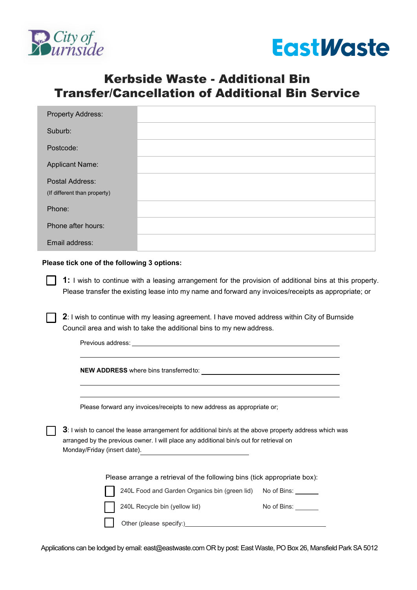



## Kerbside Waste - Additional Bin Transfer/Cancellation of Additional Bin Service

| <b>Property Address:</b>     |  |
|------------------------------|--|
| Suburb:                      |  |
| Postcode:                    |  |
| <b>Applicant Name:</b>       |  |
| Postal Address:              |  |
| (If different than property) |  |
| Phone:                       |  |
| Phone after hours:           |  |
| Email address:               |  |

## **Please tick one of the following 3 options:**

**1:** I wish to continue with a leasing arrangement for the provision of additional bins at this property. Please transfer the existing lease into my name and forward any invoices/receipts as appropriate; or

**2**: I wish to continue with my leasing agreement. I have moved address within City of Burnside Council area and wish to take the additional bins to my new address.

Previous address:

**NEW ADDRESS** where bins transferred to:

Please forward any invoices/receipts to new address as appropriate or;

**3**: I wish to cancel the lease arrangement for additional bin/s at the above property address which was arranged by the previous owner. I will place any additional bin/s out for retrieval on Monday/Friday (insert date).

Please arrange a retrieval of the following bins (tick appropriate box):

240L Food and Garden Organics bin (green lid) No of Bins:

240L Recycle bin (yellow lid)

No of Bins:

Other (please specify:)

Applications can be lodged by email: [east@eastwaste.com](mailto:east@eastwaste.com) OR by post: East Waste, PO Box 26, Mansfield Park SA 5012